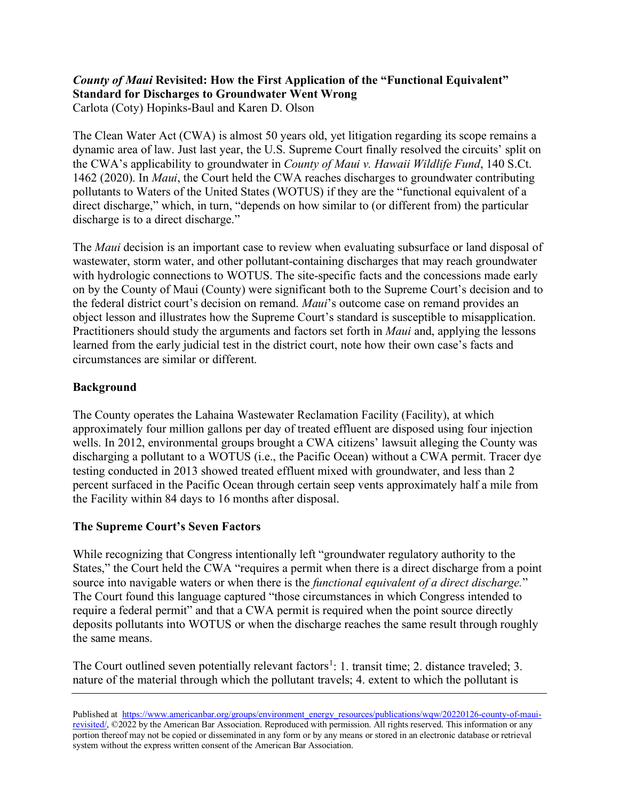# *County of Maui* **Revisited: How the First Application of the "Functional Equivalent" Standard for Discharges to Groundwater Went Wrong**

Carlota (Coty) Hopinks-Baul and Karen D. Olson

The Clean Water Act (CWA) is almost 50 years old, yet litigation regarding its scope remains a dynamic area of law. Just last year, the U.S. Supreme Court finally resolved the circuits' split on the CWA's applicability to groundwater in *County of Maui v. Hawaii Wildlife Fund*, 140 S.Ct. 1462 (2020). In *Maui*, the Court held the CWA reaches discharges to groundwater contributing pollutants to Waters of the United States (WOTUS) if they are the "functional equivalent of a direct discharge," which, in turn, "depends on how similar to (or different from) the particular discharge is to a direct discharge."

The *Maui* decision is an important case to review when evaluating subsurface or land disposal of wastewater, storm water, and other pollutant-containing discharges that may reach groundwater with hydrologic connections to WOTUS. The site-specific facts and the concessions made early on by the County of Maui (County) were significant both to the Supreme Court's decision and to the federal district court's decision on remand. *Maui*'s outcome case on remand provides an object lesson and illustrates how the Supreme Court's standard is susceptible to misapplication. Practitioners should study the arguments and factors set forth in *Maui* and, applying the lessons learned from the early judicial test in the district court, note how their own case's facts and circumstances are similar or different.

# **Background**

The County operates the Lahaina Wastewater Reclamation Facility (Facility), at which approximately four million gallons per day of treated effluent are disposed using four injection wells. In 2012, environmental groups brought a CWA citizens' lawsuit alleging the County was discharging a pollutant to a WOTUS (i.e., the Pacific Ocean) without a CWA permit. Tracer dye testing conducted in 2013 showed treated effluent mixed with groundwater, and less than 2 percent surfaced in the Pacific Ocean through certain seep vents approximately half a mile from the Facility within 84 days to 16 months after disposal.

# **The Supreme Court's Seven Factors**

While recognizing that Congress intentionally left "groundwater regulatory authority to the States," the Court held the CWA "requires a permit when there is a direct discharge from a point source into navigable waters or when there is the *functional equivalent of a direct discharge.*" The Court found this language captured "those circumstances in which Congress intended to require a federal permit" and that a CWA permit is required when the point source directly deposits pollutants into WOTUS or when the discharge reaches the same result through roughly the same means.

The Court outlined seven potentially relevant factors<sup>[1](#page-3-0)</sup>: 1. transit time; 2. distance traveled; 3. nature of the material through which the pollutant travels; 4. extent to which the pollutant is

Published at [https://www.americanbar.org/groups/environment\\_energy\\_resources/publications/wqw/20220126-county-of-maui](https://www.americanbar.org/groups/environment_energy_resources/publications/wqw/20220126-county-of-maui-revisited/)[revisited/,](https://www.americanbar.org/groups/environment_energy_resources/publications/wqw/20220126-county-of-maui-revisited/) ©2022 by the American Bar Association. Reproduced with permission. All rights reserved. This information or any portion thereof may not be copied or disseminated in any form or by any means or stored in an electronic database or retrieval system without the express written consent of the American Bar Association.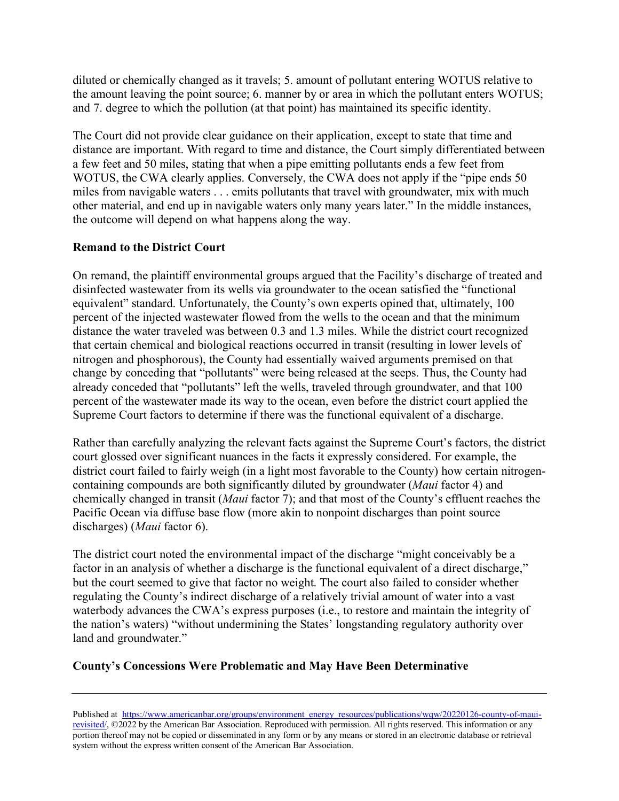diluted or chemically changed as it travels; 5. amount of pollutant entering WOTUS relative to the amount leaving the point source; 6. manner by or area in which the pollutant enters WOTUS; and 7. degree to which the pollution (at that point) has maintained its specific identity.

The Court did not provide clear guidance on their application, except to state that time and distance are important. With regard to time and distance, the Court simply differentiated between a few feet and 50 miles, stating that when a pipe emitting pollutants ends a few feet from WOTUS, the CWA clearly applies. Conversely, the CWA does not apply if the "pipe ends 50 miles from navigable waters . . . emits pollutants that travel with groundwater, mix with much other material, and end up in navigable waters only many years later." In the middle instances, the outcome will depend on what happens along the way.

# **Remand to the District Court**

On remand, the plaintiff environmental groups argued that the Facility's discharge of treated and disinfected wastewater from its wells via groundwater to the ocean satisfied the "functional equivalent" standard. Unfortunately, the County's own experts opined that, ultimately, 100 percent of the injected wastewater flowed from the wells to the ocean and that the minimum distance the water traveled was between 0.3 and 1.3 miles. While the district court recognized that certain chemical and biological reactions occurred in transit (resulting in lower levels of nitrogen and phosphorous), the County had essentially waived arguments premised on that change by conceding that "pollutants" were being released at the seeps. Thus, the County had already conceded that "pollutants" left the wells, traveled through groundwater, and that 100 percent of the wastewater made its way to the ocean, even before the district court applied the Supreme Court factors to determine if there was the functional equivalent of a discharge.

Rather than carefully analyzing the relevant facts against the Supreme Court's factors, the district court glossed over significant nuances in the facts it expressly considered. For example, the district court failed to fairly weigh (in a light most favorable to the County) how certain nitrogencontaining compounds are both significantly diluted by groundwater (*Maui* factor 4) and chemically changed in transit (*Maui* factor 7); and that most of the County's effluent reaches the Pacific Ocean via diffuse base flow (more akin to nonpoint discharges than point source discharges) (*Maui* factor 6).

The district court noted the environmental impact of the discharge "might conceivably be a factor in an analysis of whether a discharge is the functional equivalent of a direct discharge," but the court seemed to give that factor no weight. The court also failed to consider whether regulating the County's indirect discharge of a relatively trivial amount of water into a vast waterbody advances the CWA's express purposes (i.e., to restore and maintain the integrity of the nation's waters) "without undermining the States' longstanding regulatory authority over land and groundwater."

# **County's Concessions Were Problematic and May Have Been Determinative**

Published at [https://www.americanbar.org/groups/environment\\_energy\\_resources/publications/wqw/20220126-county-of-maui](https://www.americanbar.org/groups/environment_energy_resources/publications/wqw/20220126-county-of-maui-revisited/)[revisited/,](https://www.americanbar.org/groups/environment_energy_resources/publications/wqw/20220126-county-of-maui-revisited/) ©2022 by the American Bar Association. Reproduced with permission. All rights reserved. This information or any portion thereof may not be copied or disseminated in any form or by any means or stored in an electronic database or retrieval system without the express written consent of the American Bar Association.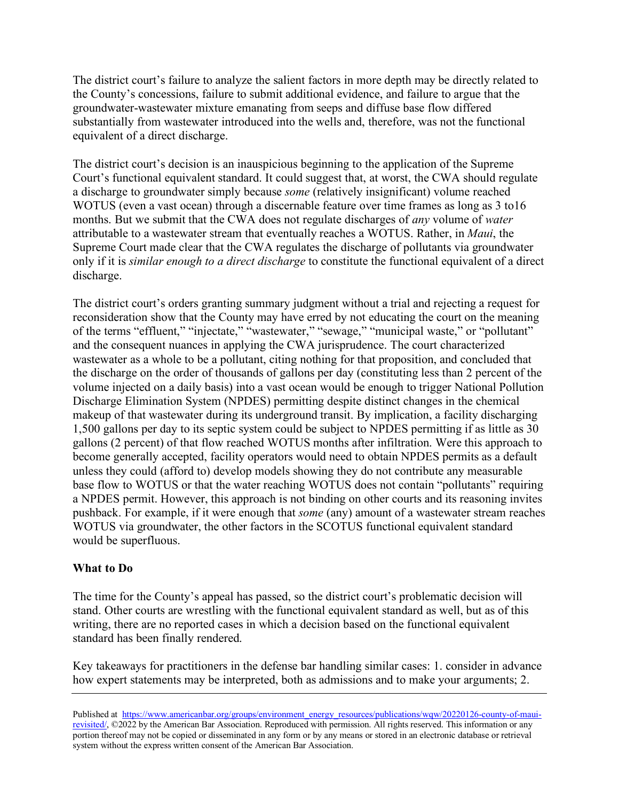The district court's failure to analyze the salient factors in more depth may be directly related to the County's concessions, failure to submit additional evidence, and failure to argue that the groundwater-wastewater mixture emanating from seeps and diffuse base flow differed substantially from wastewater introduced into the wells and, therefore, was not the functional equivalent of a direct discharge.

The district court's decision is an inauspicious beginning to the application of the Supreme Court's functional equivalent standard. It could suggest that, at worst, the CWA should regulate a discharge to groundwater simply because *some* (relatively insignificant) volume reached WOTUS (even a vast ocean) through a discernable feature over time frames as long as 3 to16 months. But we submit that the CWA does not regulate discharges of *any* volume of *water* attributable to a wastewater stream that eventually reaches a WOTUS. Rather, in *Maui*, the Supreme Court made clear that the CWA regulates the discharge of pollutants via groundwater only if it is *similar enough to a direct discharge* to constitute the functional equivalent of a direct discharge.

The district court's orders granting summary judgment without a trial and rejecting a request for reconsideration show that the County may have erred by not educating the court on the meaning of the terms "effluent," "injectate," "wastewater," "sewage," "municipal waste," or "pollutant" and the consequent nuances in applying the CWA jurisprudence. The court characterized wastewater as a whole to be a pollutant, citing nothing for that proposition, and concluded that the discharge on the order of thousands of gallons per day (constituting less than 2 percent of the volume injected on a daily basis) into a vast ocean would be enough to trigger National Pollution Discharge Elimination System (NPDES) permitting despite distinct changes in the chemical makeup of that wastewater during its underground transit. By implication, a facility discharging 1,500 gallons per day to its septic system could be subject to NPDES permitting if as little as 30 gallons (2 percent) of that flow reached WOTUS months after infiltration. Were this approach to become generally accepted, facility operators would need to obtain NPDES permits as a default unless they could (afford to) develop models showing they do not contribute any measurable base flow to WOTUS or that the water reaching WOTUS does not contain "pollutants" requiring a NPDES permit. However, this approach is not binding on other courts and its reasoning invites pushback. For example, if it were enough that *some* (any) amount of a wastewater stream reaches WOTUS via groundwater, the other factors in the SCOTUS functional equivalent standard would be superfluous.

### **What to Do**

The time for the County's appeal has passed, so the district court's problematic decision will stand. Other courts are wrestling with the functional equivalent standard as well, but as of this writing, there are no reported cases in which a decision based on the functional equivalent standard has been finally rendered.

Key takeaways for practitioners in the defense bar handling similar cases: 1. consider in advance how expert statements may be interpreted, both as admissions and to make your arguments; 2.

Published at [https://www.americanbar.org/groups/environment\\_energy\\_resources/publications/wqw/20220126-county-of-maui](https://www.americanbar.org/groups/environment_energy_resources/publications/wqw/20220126-county-of-maui-revisited/)[revisited/,](https://www.americanbar.org/groups/environment_energy_resources/publications/wqw/20220126-county-of-maui-revisited/) ©2022 by the American Bar Association. Reproduced with permission. All rights reserved. This information or any portion thereof may not be copied or disseminated in any form or by any means or stored in an electronic database or retrieval system without the express written consent of the American Bar Association.